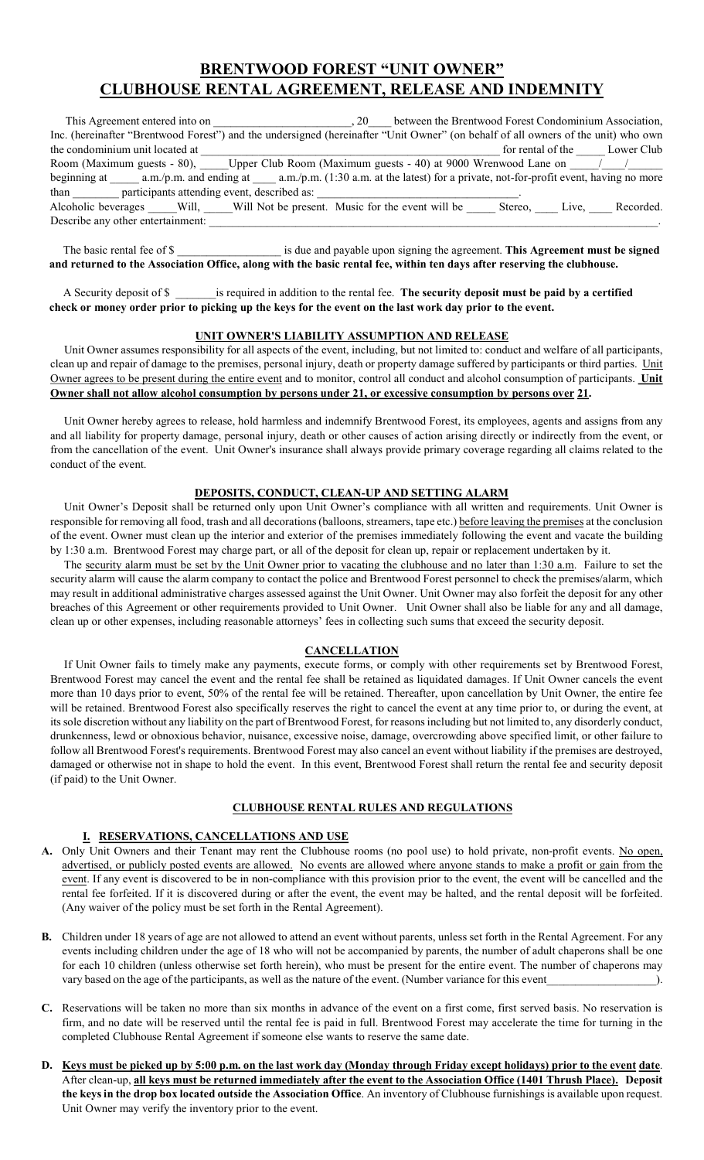## BRENTWOOD FOREST "UNIT OWNER" CLUBHOUSE RENTAL AGREEMENT, RELEASE AND INDEMNITY

| This Agreement entered into on<br>. 20                                                                                            | between the Brentwood Forest Condominium Association, |       |            |
|-----------------------------------------------------------------------------------------------------------------------------------|-------------------------------------------------------|-------|------------|
| Inc. (hereinafter "Brentwood Forest") and the undersigned (hereinafter "Unit Owner" (on behalf of all owners of the unit) who own |                                                       |       |            |
| the condominium unit located at                                                                                                   | for rental of the                                     |       | Lower Club |
| Room (Maximum guests - 80), Upper Club Room (Maximum guests - 40) at 9000 Wrenwood Lane on                                        |                                                       |       |            |
| beginning at a.m./p.m. and ending at a.m./p.m. (1:30 a.m. at the latest) for a private, not-for-profit event, having no more      |                                                       |       |            |
| participants attending event, described as:<br>than                                                                               |                                                       |       |            |
| Alcoholic beverages Will, Will Not be present. Music for the event will be                                                        | Stereo,                                               | Live, | Recorded.  |
| Describe any other entertainment:                                                                                                 |                                                       |       |            |

The basic rental fee of \$ and returned to the Association Office, along with the basic rental fee, within ten days after reserving the clubhouse.

 A Security deposit of \$ \_\_\_\_\_\_\_is required in addition to the rental fee. The security deposit must be paid by a certified check or money order prior to picking up the keys for the event on the last work day prior to the event.

## UNIT OWNER'S LIABILITY ASSUMPTION AND RELEASE

 Unit Owner assumes responsibility for all aspects of the event, including, but not limited to: conduct and welfare of all participants, clean up and repair of damage to the premises, personal injury, death or property damage suffered by participants or third parties. Unit Owner agrees to be present during the entire event and to monitor, control all conduct and alcohol consumption of participants. Unit Owner shall not allow alcohol consumption by persons under 21, or excessive consumption by persons over 21.

 Unit Owner hereby agrees to release, hold harmless and indemnify Brentwood Forest, its employees, agents and assigns from any and all liability for property damage, personal injury, death or other causes of action arising directly or indirectly from the event, or from the cancellation of the event. Unit Owner's insurance shall always provide primary coverage regarding all claims related to the conduct of the event.

## DEPOSITS, CONDUCT, CLEAN-UP AND SETTING ALARM

 Unit Owner's Deposit shall be returned only upon Unit Owner's compliance with all written and requirements. Unit Owner is responsible for removing all food, trash and all decorations (balloons, streamers, tape etc.) before leaving the premises at the conclusion of the event. Owner must clean up the interior and exterior of the premises immediately following the event and vacate the building by 1:30 a.m. Brentwood Forest may charge part, or all of the deposit for clean up, repair or replacement undertaken by it.

 The security alarm must be set by the Unit Owner prior to vacating the clubhouse and no later than 1:30 a.m. Failure to set the security alarm will cause the alarm company to contact the police and Brentwood Forest personnel to check the premises/alarm, which may result in additional administrative charges assessed against the Unit Owner. Unit Owner may also forfeit the deposit for any other breaches of this Agreement or other requirements provided to Unit Owner. Unit Owner shall also be liable for any and all damage, clean up or other expenses, including reasonable attorneys' fees in collecting such sums that exceed the security deposit.

## **CANCELLATION**

 If Unit Owner fails to timely make any payments, execute forms, or comply with other requirements set by Brentwood Forest, Brentwood Forest may cancel the event and the rental fee shall be retained as liquidated damages. If Unit Owner cancels the event more than 10 days prior to event, 50% of the rental fee will be retained. Thereafter, upon cancellation by Unit Owner, the entire fee will be retained. Brentwood Forest also specifically reserves the right to cancel the event at any time prior to, or during the event, at its sole discretion without any liability on the part of Brentwood Forest, for reasons including but not limited to, any disorderly conduct, drunkenness, lewd or obnoxious behavior, nuisance, excessive noise, damage, overcrowding above specified limit, or other failure to follow all Brentwood Forest's requirements. Brentwood Forest may also cancel an event without liability if the premises are destroyed, damaged or otherwise not in shape to hold the event. In this event, Brentwood Forest shall return the rental fee and security deposit (if paid) to the Unit Owner.

## CLUBHOUSE RENTAL RULES AND REGULATIONS

## I. RESERVATIONS, CANCELLATIONS AND USE

- A. Only Unit Owners and their Tenant may rent the Clubhouse rooms (no pool use) to hold private, non-profit events. No open, advertised, or publicly posted events are allowed. No events are allowed where anyone stands to make a profit or gain from the event. If any event is discovered to be in non-compliance with this provision prior to the event, the event will be cancelled and the rental fee forfeited. If it is discovered during or after the event, the event may be halted, and the rental deposit will be forfeited. (Any waiver of the policy must be set forth in the Rental Agreement).
- B. Children under 18 years of age are not allowed to attend an event without parents, unless set forth in the Rental Agreement. For any events including children under the age of 18 who will not be accompanied by parents, the number of adult chaperons shall be one for each 10 children (unless otherwise set forth herein), who must be present for the entire event. The number of chaperons may vary based on the age of the participants, as well as the nature of the event. (Number variance for this event
- C. Reservations will be taken no more than six months in advance of the event on a first come, first served basis. No reservation is firm, and no date will be reserved until the rental fee is paid in full. Brentwood Forest may accelerate the time for turning in the completed Clubhouse Rental Agreement if someone else wants to reserve the same date.
- D. Keys must be picked up by 5:00 p.m. on the last work day (Monday through Friday except holidays) prior to the event date. After clean-up, all keys must be returned immediately after the event to the Association Office (1401 Thrush Place). Deposit the keys in the drop box located outside the Association Office. An inventory of Clubhouse furnishings is available upon request. Unit Owner may verify the inventory prior to the event.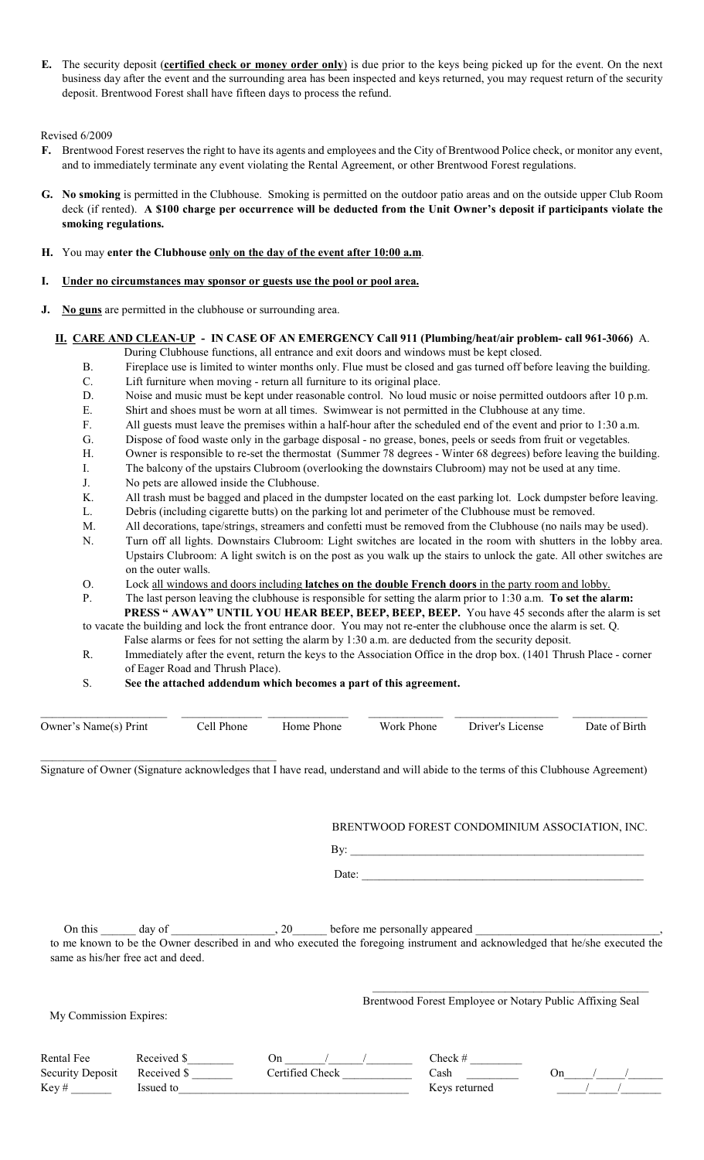E. The security deposit (certified check or money order only) is due prior to the keys being picked up for the event. On the next business day after the event and the surrounding area has been inspected and keys returned, you may request return of the security deposit. Brentwood Forest shall have fifteen days to process the refund.

### Revised 6/2009

- F. Brentwood Forest reserves the right to have its agents and employees and the City of Brentwood Police check, or monitor any event, and to immediately terminate any event violating the Rental Agreement, or other Brentwood Forest regulations.
- G. No smoking is permitted in the Clubhouse. Smoking is permitted on the outdoor patio areas and on the outside upper Club Room deck (if rented). A \$100 charge per occurrence will be deducted from the Unit Owner's deposit if participants violate the smoking regulations.

## H. You may enter the Clubhouse only on the day of the event after 10:00 a.m.

#### I. Under no circumstances may sponsor or guests use the pool or pool area.

J. No guns are permitted in the clubhouse or surrounding area.

## II. CARE AND CLEAN-UP - IN CASE OF AN EMERGENCY Call 911 (Plumbing/heat/air problem- call 961-3066) A.

- During Clubhouse functions, all entrance and exit doors and windows must be kept closed.
- B. Fireplace use is limited to winter months only. Flue must be closed and gas turned off before leaving the building.
- C. Lift furniture when moving return all furniture to its original place.
- D. Noise and music must be kept under reasonable control. No loud music or noise permitted outdoors after 10 p.m.
- E. Shirt and shoes must be worn at all times. Swimwear is not permitted in the Clubhouse at any time.
- F. All guests must leave the premises within a half-hour after the scheduled end of the event and prior to 1:30 a.m.
- G. Dispose of food waste only in the garbage disposal no grease, bones, peels or seeds from fruit or vegetables.
- H. Owner is responsible to re-set the thermostat (Summer 78 degrees Winter 68 degrees) before leaving the building.
- I. The balcony of the upstairs Clubroom (overlooking the downstairs Clubroom) may not be used at any time.
- J. No pets are allowed inside the Clubhouse.
- K. All trash must be bagged and placed in the dumpster located on the east parking lot. Lock dumpster before leaving.
- L. Debris (including cigarette butts) on the parking lot and perimeter of the Clubhouse must be removed.
- M. All decorations, tape/strings, streamers and confetti must be removed from the Clubhouse (no nails may be used).
- N. Turn off all lights. Downstairs Clubroom: Light switches are located in the room with shutters in the lobby area. Upstairs Clubroom: A light switch is on the post as you walk up the stairs to unlock the gate. All other switches are on the outer walls.
- O. Lock all windows and doors including latches on the double French doors in the party room and lobby.
- P. The last person leaving the clubhouse is responsible for setting the alarm prior to 1:30 a.m. To set the alarm: PRESS " AWAY" UNTIL YOU HEAR BEEP, BEEP, BEEP, BEEP. You have 45 seconds after the alarm is set

to vacate the building and lock the front entrance door. You may not re-enter the clubhouse once the alarm is set. Q. False alarms or fees for not setting the alarm by 1:30 a.m. are deducted from the security deposit.

- R. Immediately after the event, return the keys to the Association Office in the drop box. (1401 Thrush Place corner of Eager Road and Thrush Place).
- S. See the attached addendum which becomes a part of this agreement.

| Owner's Name(s) Print | Cell Phone | <b>Home Phone</b> | Work Phone Driver's License | Date of Birth |
|-----------------------|------------|-------------------|-----------------------------|---------------|
|                       |            |                   |                             |               |

Signature of Owner (Signature acknowledges that I have read, understand and will abide to the terms of this Clubhouse Agreement)

BRENTWOOD FOREST CONDOMINIUM ASSOCIATION, INC.

 $\mathbf{B}$ y: Date:

On this \_\_\_\_\_\_ day of \_\_\_\_\_\_\_\_\_\_\_\_\_\_\_\_\_, 20\_\_\_\_\_\_ before me personally appeared to me known to be the Owner described in and who executed the foregoing instrument and acknowledged that he/she executed the same as his/her free act and deed.

My Commission Expires:

 $\mathcal{L}_\text{max}$ Brentwood Forest Employee or Notary Public Affixing Seal

| Rental Fee              | Received S  |                 | $\lceil \text{heck} \rceil$ |  |
|-------------------------|-------------|-----------------|-----------------------------|--|
| <b>Security Deposit</b> | Received \$ | Certified Check | Cash                        |  |
| Kev #                   | lssued to   |                 | Keys returned               |  |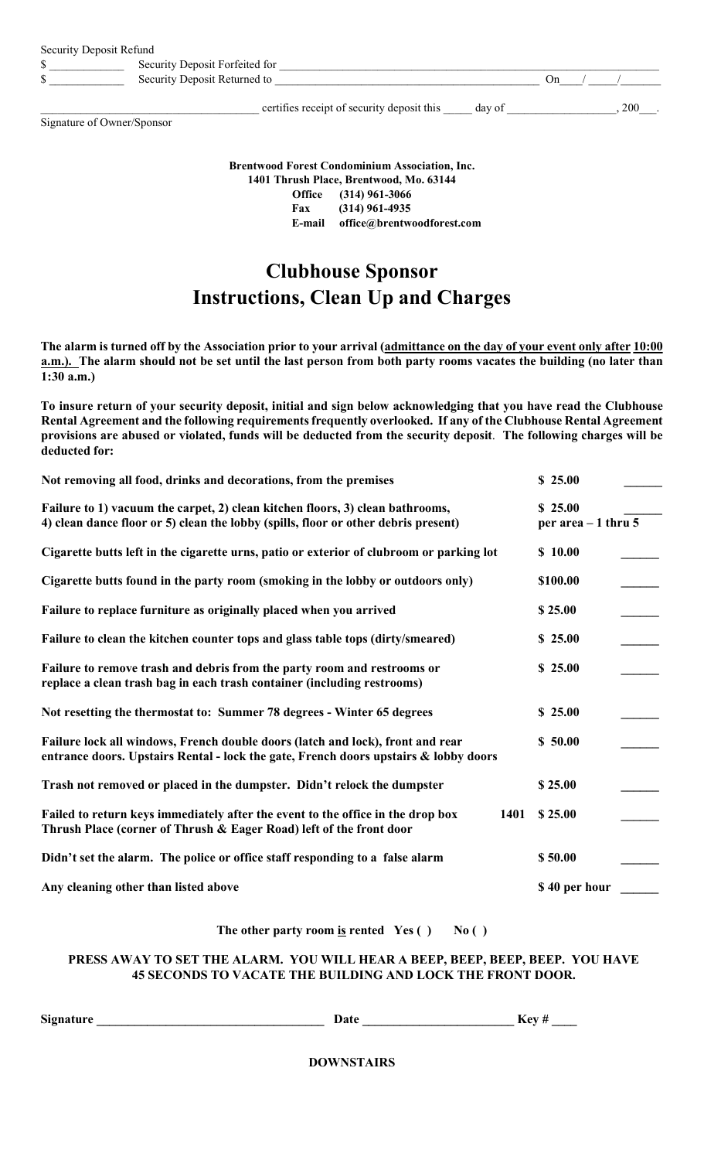| Security Deposit Refund |                                |     |  |
|-------------------------|--------------------------------|-----|--|
|                         | Security Deposit Forfeited for |     |  |
| w                       | Security Deposit Returned to   | ∣hn |  |
|                         |                                |     |  |

certifies receipt of security deposit this \_\_\_\_ day of \_\_\_\_\_\_\_\_\_\_\_\_\_\_\_, 200\_\_\_.

Signature of Owner/Sponsor

| <b>Brentwood Forest Condominium Association, Inc.</b><br>1401 Thrush Place, Brentwood, Mo. 63144 |                            |  |
|--------------------------------------------------------------------------------------------------|----------------------------|--|
|                                                                                                  | Office (314) 961-3066      |  |
| Fax                                                                                              | (314) 961-4935             |  |
| E-mail                                                                                           | office@brentwoodforest.com |  |

# Clubhouse Sponsor Instructions, Clean Up and Charges

The alarm is turned off by the Association prior to your arrival (admittance on the day of your event only after 10:00 a.m.). The alarm should not be set until the last person from both party rooms vacates the building (no later than 1:30 a.m.)

To insure return of your security deposit, initial and sign below acknowledging that you have read the Clubhouse Rental Agreement and the following requirements frequently overlooked. If any of the Clubhouse Rental Agreement provisions are abused or violated, funds will be deducted from the security deposit. The following charges will be deducted for:

| Not removing all food, drinks and decorations, from the premises                                                                                                       | \$25.00                         |
|------------------------------------------------------------------------------------------------------------------------------------------------------------------------|---------------------------------|
| Failure to 1) vacuum the carpet, 2) clean kitchen floors, 3) clean bathrooms,<br>4) clean dance floor or 5) clean the lobby (spills, floor or other debris present)    | \$25.00<br>per area $-1$ thru 5 |
| Cigarette butts left in the cigarette urns, patio or exterior of clubroom or parking lot                                                                               | \$10.00                         |
| Cigarette butts found in the party room (smoking in the lobby or outdoors only)                                                                                        | \$100.00                        |
| Failure to replace furniture as originally placed when you arrived                                                                                                     | \$25.00                         |
| Failure to clean the kitchen counter tops and glass table tops (dirty/smeared)                                                                                         | \$25.00                         |
| Failure to remove trash and debris from the party room and restrooms or<br>replace a clean trash bag in each trash container (including restrooms)                     | \$25.00                         |
| Not resetting the thermostat to: Summer 78 degrees - Winter 65 degrees                                                                                                 | \$25.00                         |
| Failure lock all windows, French double doors (latch and lock), front and rear<br>entrance doors. Upstairs Rental - lock the gate, French doors upstairs & lobby doors | \$50.00                         |
| Trash not removed or placed in the dumpster. Didn't relock the dumpster                                                                                                | \$25.00                         |
| Failed to return keys immediately after the event to the office in the drop box<br>1401<br>Thrush Place (corner of Thrush & Eager Road) left of the front door         | \$25.00                         |
| Didn't set the alarm. The police or office staff responding to a false alarm                                                                                           | \$50.00                         |
| Any cleaning other than listed above                                                                                                                                   | \$40 per hour                   |

The other party room is rented  $Yes() No()$ 

## PRESS AWAY TO SET THE ALARM. YOU WILL HEAR A BEEP, BEEP, BEEP, BEEP. YOU HAVE 45 SECONDS TO VACATE THE BUILDING AND LOCK THE FRONT DOOR.

Signature \_\_\_\_\_\_\_\_\_\_\_\_\_\_\_\_\_\_\_\_\_\_\_\_\_\_\_\_\_\_\_\_\_\_\_\_ Date \_\_\_\_\_\_\_\_\_\_\_\_\_\_\_\_\_\_\_\_\_\_\_\_ Key # \_\_\_\_

DOWNSTAIRS